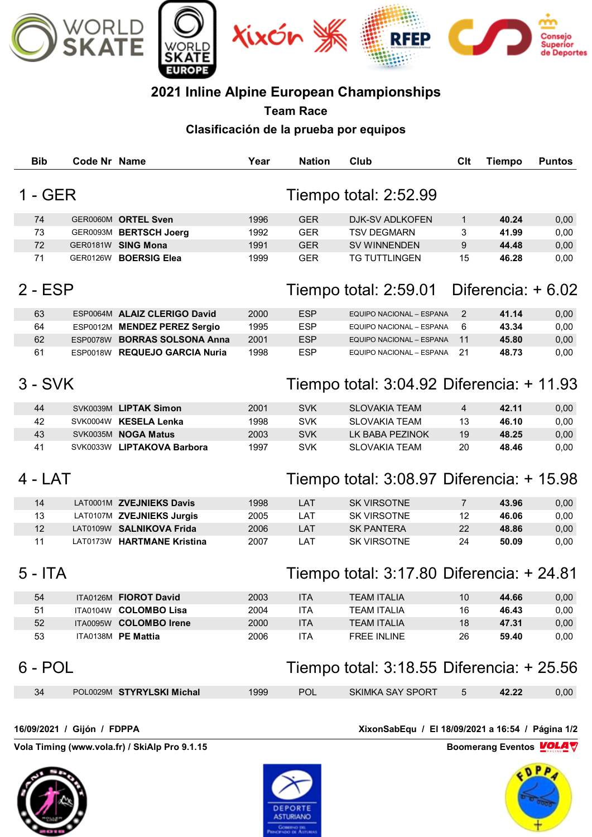

## **2021 Inline Alpine European Championships**

**Team Race Clasificación de la prueba por equipos**

| <b>Bib</b>                                                                     | Code Nr Name |                               | Year | <b>Nation</b>         | Club                                             | Clt                 | <b>Tiempo</b> | <b>Puntos</b> |  |  |
|--------------------------------------------------------------------------------|--------------|-------------------------------|------|-----------------------|--------------------------------------------------|---------------------|---------------|---------------|--|--|
| $1 - GER$<br>Tiempo total: 2:52.99                                             |              |                               |      |                       |                                                  |                     |               |               |  |  |
| 74                                                                             |              | GER0060M ORTEL Sven           | 1996 | <b>GER</b>            | DJK-SV ADLKOFEN                                  | $\mathbf{1}$        | 40.24         | 0,00          |  |  |
| 73                                                                             |              | GER0093M BERTSCH Joerg        | 1992 | <b>GER</b>            | <b>TSV DEGMARN</b>                               | 3                   | 41.99         | 0,00          |  |  |
| 72                                                                             |              | GER0181W SING Mona            | 1991 | <b>GER</b>            | SV WINNENDEN                                     | 9                   | 44.48         | 0,00          |  |  |
| 71                                                                             |              | GER0126W BOERSIG Elea         | 1999 | <b>GER</b>            | <b>TG TUTTLINGEN</b>                             | 15                  | 46.28         | 0,00          |  |  |
|                                                                                |              |                               |      |                       |                                                  |                     |               |               |  |  |
| $2 - ESP$                                                                      |              |                               |      | Tiempo total: 2:59.01 |                                                  | Diferencia: $+6.02$ |               |               |  |  |
| 63                                                                             |              | ESP0064M ALAIZ CLERIGO David  | 2000 | <b>ESP</b>            | EQUIPO NACIONAL - ESPANA                         | 2                   | 41.14         | 0,00          |  |  |
| 64                                                                             |              | ESP0012M MENDEZ PEREZ Sergio  | 1995 | <b>ESP</b>            | EQUIPO NACIONAL - ESPANA                         | 6                   | 43.34         | 0,00          |  |  |
| 62                                                                             |              | ESP0078W BORRAS SOLSONA Anna  | 2001 | <b>ESP</b>            | EQUIPO NACIONAL - ESPANA                         | 11                  | 45.80         | 0,00          |  |  |
| 61                                                                             |              | ESP0018W REQUEJO GARCIA Nuria | 1998 | <b>ESP</b>            | EQUIPO NACIONAL - ESPANA                         | 21                  | 48.73         | 0,00          |  |  |
| $3 - SVK$<br>Tiempo total: $3:04.92$ Diferencia: $+11.93$                      |              |                               |      |                       |                                                  |                     |               |               |  |  |
| 44                                                                             |              | SVK0039M LIPTAK Simon         | 2001 | <b>SVK</b>            | <b>SLOVAKIA TEAM</b>                             | 4                   | 42.11         | 0,00          |  |  |
| 42                                                                             |              | SVK0004W KESELA Lenka         | 1998 | <b>SVK</b>            | <b>SLOVAKIA TEAM</b>                             | 13                  | 46.10         | 0,00          |  |  |
| 43                                                                             |              | SVK0035M NOGA Matus           | 2003 | <b>SVK</b>            | LK BABA PEZINOK                                  | 19                  | 48.25         | 0,00          |  |  |
| 41                                                                             |              | SVK0033W LIPTAKOVA Barbora    | 1997 | <b>SVK</b>            | <b>SLOVAKIA TEAM</b>                             | 20                  | 48.46         | 0,00          |  |  |
| $4 - LAT$                                                                      |              |                               |      |                       | Tiempo total: 3:08.97 Diferencia: + 15.98        |                     |               |               |  |  |
| 14                                                                             |              | LAT0001M ZVEJNIEKS Davis      | 1998 | LAT                   | <b>SK VIRSOTNE</b>                               | $\overline{7}$      | 43.96         | 0,00          |  |  |
| 13                                                                             |              | LAT0107M ZVEJNIEKS Jurgis     | 2005 | LAT                   | <b>SK VIRSOTNE</b>                               | 12                  | 46.06         | 0,00          |  |  |
| 12                                                                             |              | LAT0109W SALNIKOVA Frida      | 2006 | LAT                   | <b>SK PANTERA</b>                                | 22                  | 48.86         | 0,00          |  |  |
| 11                                                                             |              | LAT0173W HARTMANE Kristina    | 2007 | LAT                   | <b>SK VIRSOTNE</b>                               | 24                  | 50.09         | 0,00          |  |  |
| $5 - ITA$                                                                      |              |                               |      |                       | Tiempo total: 3:17.80 Diferencia: + 24.81        |                     |               |               |  |  |
| 54                                                                             |              | ITA0126M FIOROT David         | 2003 | <b>ITA</b>            | <b>TEAM ITALIA</b>                               | 10                  | 44.66         | 0,00          |  |  |
| 51                                                                             |              | ITA0104W COLOMBO Lisa         | 2004 | <b>ITA</b>            | <b>TEAM ITALIA</b>                               | 16                  | 46.43         | 0,00          |  |  |
| 52                                                                             |              | ITA0095W COLOMBO Irene        | 2000 | <b>ITA</b>            | <b>TEAM ITALIA</b>                               | 18                  | 47.31         | 0,00          |  |  |
| 53                                                                             |              | ITA0138M PE Mattia            | 2006 | <b>ITA</b>            | <b>FREE INLINE</b>                               | 26                  | 59.40         | 0,00          |  |  |
| $6 - POL$                                                                      |              |                               |      |                       | Tiempo total: 3:18.55 Diferencia: + 25.56        |                     |               |               |  |  |
| 34                                                                             |              | POL0029M STYRYLSKI Michal     | 1999 | <b>POL</b>            | SKIMKA SAY SPORT                                 | 5                   | 42.22         | 0,00          |  |  |
| 16/09/2021 / Gijón / FDPPA                                                     |              |                               |      |                       | XixonSabEqu / El 18/09/2021 a 16:54 / Página 1/2 |                     |               |               |  |  |
| Vola Timing (www.vola.fr) / SkiAlp Pro 9.1.15<br>Boomerang Eventos <b>VOLA</b> |              |                               |      |                       |                                                  |                     |               |               |  |  |